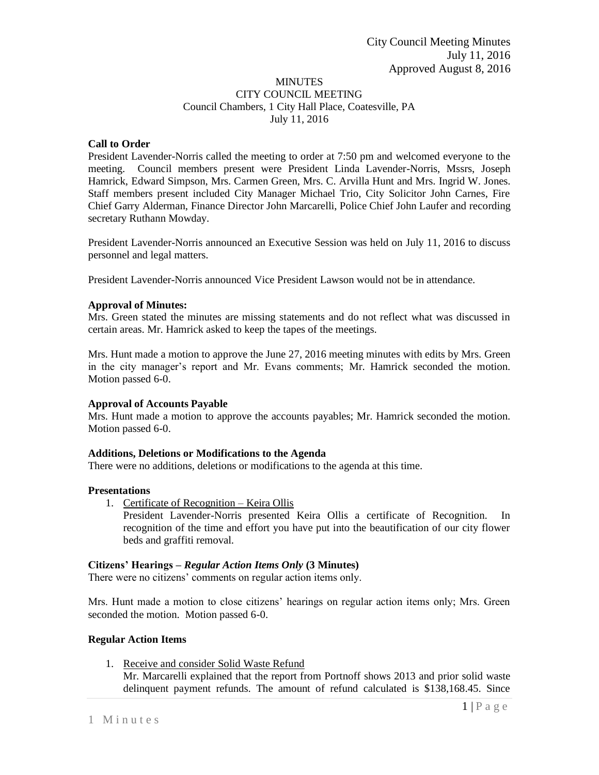### MINUTES CITY COUNCIL MEETING Council Chambers, 1 City Hall Place, Coatesville, PA July 11, 2016

# **Call to Order**

President Lavender-Norris called the meeting to order at 7:50 pm and welcomed everyone to the meeting. Council members present were President Linda Lavender-Norris, Mssrs, Joseph Hamrick, Edward Simpson, Mrs. Carmen Green, Mrs. C. Arvilla Hunt and Mrs. Ingrid W. Jones. Staff members present included City Manager Michael Trio, City Solicitor John Carnes, Fire Chief Garry Alderman, Finance Director John Marcarelli, Police Chief John Laufer and recording secretary Ruthann Mowday.

President Lavender-Norris announced an Executive Session was held on July 11, 2016 to discuss personnel and legal matters.

President Lavender-Norris announced Vice President Lawson would not be in attendance.

# **Approval of Minutes:**

Mrs. Green stated the minutes are missing statements and do not reflect what was discussed in certain areas. Mr. Hamrick asked to keep the tapes of the meetings.

Mrs. Hunt made a motion to approve the June 27, 2016 meeting minutes with edits by Mrs. Green in the city manager's report and Mr. Evans comments; Mr. Hamrick seconded the motion. Motion passed 6-0.

### **Approval of Accounts Payable**

Mrs. Hunt made a motion to approve the accounts payables; Mr. Hamrick seconded the motion. Motion passed 6-0.

### **Additions, Deletions or Modifications to the Agenda**

There were no additions, deletions or modifications to the agenda at this time.

### **Presentations**

1. Certificate of Recognition – Keira Ollis

President Lavender-Norris presented Keira Ollis a certificate of Recognition. In recognition of the time and effort you have put into the beautification of our city flower beds and graffiti removal.

### **Citizens' Hearings –** *Regular Action Items Only* **(3 Minutes)**

There were no citizens' comments on regular action items only.

Mrs. Hunt made a motion to close citizens' hearings on regular action items only; Mrs. Green seconded the motion. Motion passed 6-0.

### **Regular Action Items**

1. Receive and consider Solid Waste Refund Mr. Marcarelli explained that the report from Portnoff shows 2013 and prior solid waste delinquent payment refunds. The amount of refund calculated is \$138,168.45. Since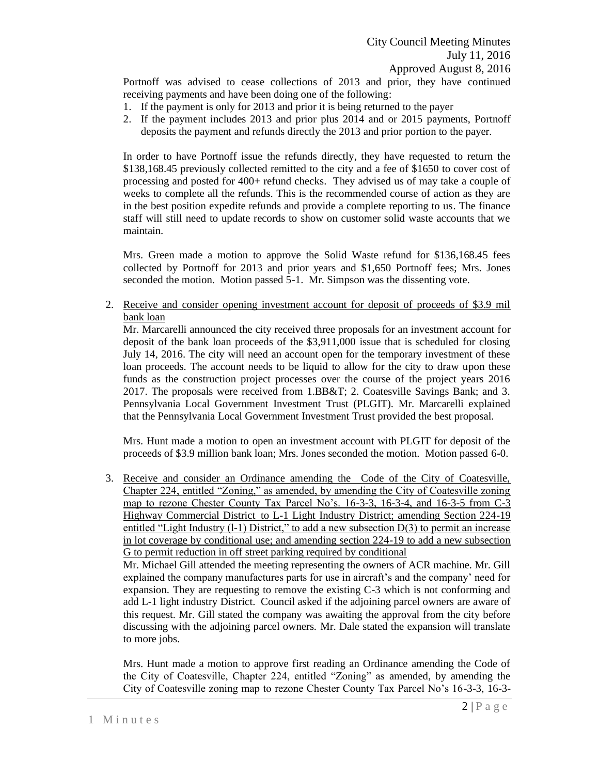Portnoff was advised to cease collections of 2013 and prior, they have continued receiving payments and have been doing one of the following:

- 1. If the payment is only for 2013 and prior it is being returned to the payer
- 2. If the payment includes 2013 and prior plus 2014 and or 2015 payments, Portnoff deposits the payment and refunds directly the 2013 and prior portion to the payer.

In order to have Portnoff issue the refunds directly, they have requested to return the \$138,168.45 previously collected remitted to the city and a fee of \$1650 to cover cost of processing and posted for 400+ refund checks. They advised us of may take a couple of weeks to complete all the refunds. This is the recommended course of action as they are in the best position expedite refunds and provide a complete reporting to us. The finance staff will still need to update records to show on customer solid waste accounts that we maintain.

Mrs. Green made a motion to approve the Solid Waste refund for \$136,168.45 fees collected by Portnoff for 2013 and prior years and \$1,650 Portnoff fees; Mrs. Jones seconded the motion. Motion passed 5-1. Mr. Simpson was the dissenting vote.

2. Receive and consider opening investment account for deposit of proceeds of \$3.9 mil bank loan

Mr. Marcarelli announced the city received three proposals for an investment account for deposit of the bank loan proceeds of the \$3,911,000 issue that is scheduled for closing July 14, 2016. The city will need an account open for the temporary investment of these loan proceeds. The account needs to be liquid to allow for the city to draw upon these funds as the construction project processes over the course of the project years 2016 2017. The proposals were received from 1.BB&T; 2. Coatesville Savings Bank; and 3. Pennsylvania Local Government Investment Trust (PLGIT). Mr. Marcarelli explained that the Pennsylvania Local Government Investment Trust provided the best proposal.

Mrs. Hunt made a motion to open an investment account with PLGIT for deposit of the proceeds of \$3.9 million bank loan; Mrs. Jones seconded the motion. Motion passed 6-0.

3. Receive and consider an Ordinance amending the Code of the City of Coatesville, Chapter 224, entitled "Zoning," as amended, by amending the City of Coatesville zoning map to rezone Chester County Tax Parcel No's. 16-3-3, 16-3-4, and 16-3-5 from C-3 Highway Commercial District to L-1 Light Industry District; amending Section 224-19 entitled "Light Industry (1-1) District," to add a new subsection D(3) to permit an increase in lot coverage by conditional use; and amending section 224-19 to add a new subsection G to permit reduction in off street parking required by conditional

Mr. Michael Gill attended the meeting representing the owners of ACR machine. Mr. Gill explained the company manufactures parts for use in aircraft's and the company' need for expansion. They are requesting to remove the existing C-3 which is not conforming and add L-1 light industry District. Council asked if the adjoining parcel owners are aware of this request. Mr. Gill stated the company was awaiting the approval from the city before discussing with the adjoining parcel owners. Mr. Dale stated the expansion will translate to more jobs.

Mrs. Hunt made a motion to approve first reading an Ordinance amending the Code of the City of Coatesville, Chapter 224, entitled "Zoning" as amended, by amending the City of Coatesville zoning map to rezone Chester County Tax Parcel No's 16-3-3, 16-3-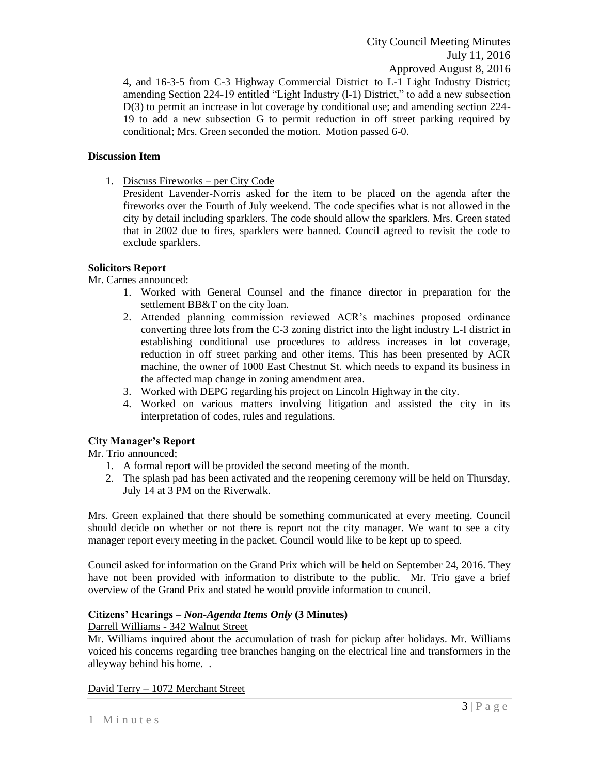4, and 16-3-5 from C-3 Highway Commercial District to L-1 Light Industry District; amending Section 224-19 entitled "Light Industry (l-1) District," to add a new subsection D(3) to permit an increase in lot coverage by conditional use; and amending section 224- 19 to add a new subsection G to permit reduction in off street parking required by conditional; Mrs. Green seconded the motion. Motion passed 6-0.

### **Discussion Item**

1. Discuss Fireworks – per City Code

President Lavender-Norris asked for the item to be placed on the agenda after the fireworks over the Fourth of July weekend. The code specifies what is not allowed in the city by detail including sparklers. The code should allow the sparklers. Mrs. Green stated that in 2002 due to fires, sparklers were banned. Council agreed to revisit the code to exclude sparklers.

# **Solicitors Report**

Mr. Carnes announced:

- 1. Worked with General Counsel and the finance director in preparation for the settlement BB&T on the city loan.
- 2. Attended planning commission reviewed ACR's machines proposed ordinance converting three lots from the C-3 zoning district into the light industry L-I district in establishing conditional use procedures to address increases in lot coverage, reduction in off street parking and other items. This has been presented by ACR machine, the owner of 1000 East Chestnut St. which needs to expand its business in the affected map change in zoning amendment area.
- 3. Worked with DEPG regarding his project on Lincoln Highway in the city.
- 4. Worked on various matters involving litigation and assisted the city in its interpretation of codes, rules and regulations.

# **City Manager's Report**

Mr. Trio announced;

- 1. A formal report will be provided the second meeting of the month.
- 2. The splash pad has been activated and the reopening ceremony will be held on Thursday, July 14 at 3 PM on the Riverwalk.

Mrs. Green explained that there should be something communicated at every meeting. Council should decide on whether or not there is report not the city manager. We want to see a city manager report every meeting in the packet. Council would like to be kept up to speed.

Council asked for information on the Grand Prix which will be held on September 24, 2016. They have not been provided with information to distribute to the public. Mr. Trio gave a brief overview of the Grand Prix and stated he would provide information to council.

### **Citizens' Hearings –** *Non-Agenda Items Only* **(3 Minutes)**

### Darrell Williams - 342 Walnut Street

Mr. Williams inquired about the accumulation of trash for pickup after holidays. Mr. Williams voiced his concerns regarding tree branches hanging on the electrical line and transformers in the alleyway behind his home. .

David Terry – 1072 Merchant Street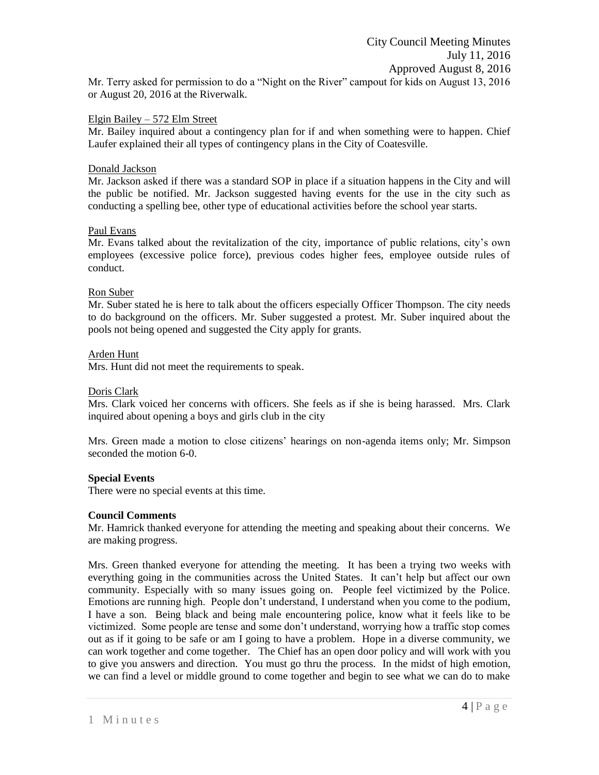Mr. Terry asked for permission to do a "Night on the River" campout for kids on August 13, 2016 or August 20, 2016 at the Riverwalk.

#### Elgin Bailey – 572 Elm Street

Mr. Bailey inquired about a contingency plan for if and when something were to happen. Chief Laufer explained their all types of contingency plans in the City of Coatesville.

#### Donald Jackson

Mr. Jackson asked if there was a standard SOP in place if a situation happens in the City and will the public be notified. Mr. Jackson suggested having events for the use in the city such as conducting a spelling bee, other type of educational activities before the school year starts.

#### Paul Evans

Mr. Evans talked about the revitalization of the city, importance of public relations, city's own employees (excessive police force), previous codes higher fees, employee outside rules of conduct.

#### Ron Suber

Mr. Suber stated he is here to talk about the officers especially Officer Thompson. The city needs to do background on the officers. Mr. Suber suggested a protest. Mr. Suber inquired about the pools not being opened and suggested the City apply for grants.

#### Arden Hunt

Mrs. Hunt did not meet the requirements to speak.

#### Doris Clark

Mrs. Clark voiced her concerns with officers. She feels as if she is being harassed. Mrs. Clark inquired about opening a boys and girls club in the city

Mrs. Green made a motion to close citizens' hearings on non-agenda items only; Mr. Simpson seconded the motion 6-0.

### **Special Events**

There were no special events at this time.

### **Council Comments**

Mr. Hamrick thanked everyone for attending the meeting and speaking about their concerns. We are making progress.

Mrs. Green thanked everyone for attending the meeting. It has been a trying two weeks with everything going in the communities across the United States. It can't help but affect our own community. Especially with so many issues going on. People feel victimized by the Police. Emotions are running high. People don't understand, I understand when you come to the podium, I have a son. Being black and being male encountering police, know what it feels like to be victimized. Some people are tense and some don't understand, worrying how a traffic stop comes out as if it going to be safe or am I going to have a problem. Hope in a diverse community, we can work together and come together. The Chief has an open door policy and will work with you to give you answers and direction. You must go thru the process. In the midst of high emotion, we can find a level or middle ground to come together and begin to see what we can do to make